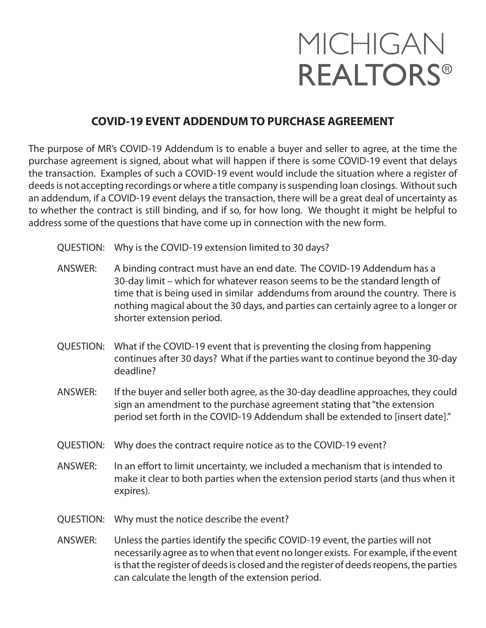## MICHIGAN **REALTORS®**

## **COVID-19 EVENT ADDENDUM TO PURCHASE AGREEMENT**

The purpose of MR's COVID-19 Addendum is to enable a buyer and seller to agree, at the time the purchase agreement is signed, about what will happen if there is some COVID-19 event that delays the transaction. Examples of such a COVID-19 event would include the situation where a register of deeds is not accepting recordings or where a title company is suspending loan closings. Without such an addendum, if a COVID-19 event delays the transaction, there will be a great deal of uncertainty as to whether the contract is still binding, and if so, for how long. We thought it might be helpful to address some of the questions that have come up in connection with the new form.

- QUESTION: Why is the COVID-19 extension limited to 30 days?
- ANSWER: A binding contract must have an end date. The COVID-19 Addendum has a 30-day limit – which for whatever reason seems to be the standard length of time that is being used in similar addendums from around the country. There is nothing magical about the 30 days, and parties can certainly agree to a longer or shorter extension period.
- QUESTION: What if the COVID-19 event that is preventing the closing from happening continues after 30 days? What if the parties want to continue beyond the 30-day deadline?
- ANSWER: If the buyer and seller both agree, as the 30-day deadline approaches, they could sign an amendment to the purchase agreement stating that "the extension period set forth in the COVID-19 Addendum shall be extended to [insert date]."
- QUESTION: Why does the contract require notice as to the COVID-19 event?
- ANSWER: In an effort to limit uncertainty, we included a mechanism that is intended to make it clear to both parties when the extension period starts (and thus when it expires).
- QUESTION: Why must the notice describe the event?
- ANSWER: Unless the parties identify the specific COVID-19 event, the parties will not necessarily agree as to when that event no longer exists. For example, if the event is that the register of deeds is closed and the register of deeds reopens, the parties can calculate the length of the extension period.